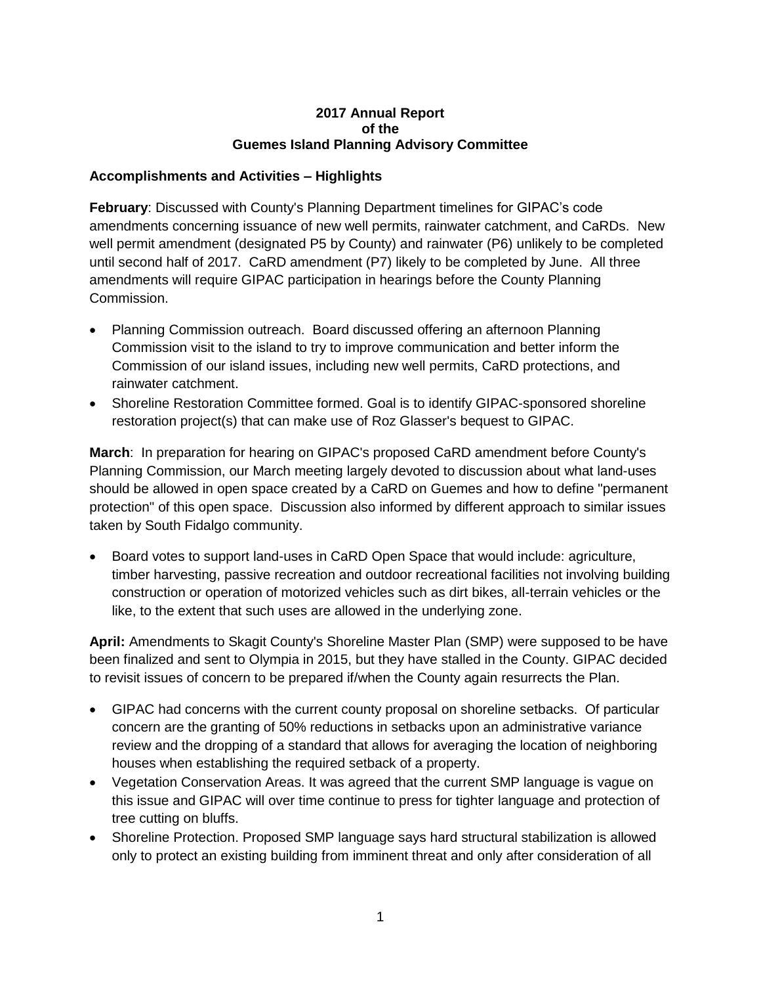## **2017 Annual Report of the Guemes Island Planning Advisory Committee**

## **Accomplishments and Activities – Highlights**

**February**: Discussed with County's Planning Department timelines for GIPAC's code amendments concerning issuance of new well permits, rainwater catchment, and CaRDs. New well permit amendment (designated P5 by County) and rainwater (P6) unlikely to be completed until second half of 2017. CaRD amendment (P7) likely to be completed by June. All three amendments will require GIPAC participation in hearings before the County Planning Commission.

- Planning Commission outreach. Board discussed offering an afternoon Planning Commission visit to the island to try to improve communication and better inform the Commission of our island issues, including new well permits, CaRD protections, and rainwater catchment.
- Shoreline Restoration Committee formed. Goal is to identify GIPAC-sponsored shoreline restoration project(s) that can make use of Roz Glasser's bequest to GIPAC.

**March**: In preparation for hearing on GIPAC's proposed CaRD amendment before County's Planning Commission, our March meeting largely devoted to discussion about what land-uses should be allowed in open space created by a CaRD on Guemes and how to define "permanent protection" of this open space. Discussion also informed by different approach to similar issues taken by South Fidalgo community.

• Board votes to support land-uses in CaRD Open Space that would include: agriculture, timber harvesting, passive recreation and outdoor recreational facilities not involving building construction or operation of motorized vehicles such as dirt bikes, all-terrain vehicles or the like, to the extent that such uses are allowed in the underlying zone.

**April:** Amendments to Skagit County's Shoreline Master Plan (SMP) were supposed to be have been finalized and sent to Olympia in 2015, but they have stalled in the County. GIPAC decided to revisit issues of concern to be prepared if/when the County again resurrects the Plan.

- GIPAC had concerns with the current county proposal on shoreline setbacks. Of particular concern are the granting of 50% reductions in setbacks upon an administrative variance review and the dropping of a standard that allows for averaging the location of neighboring houses when establishing the required setback of a property.
- Vegetation Conservation Areas. It was agreed that the current SMP language is vague on this issue and GIPAC will over time continue to press for tighter language and protection of tree cutting on bluffs.
- Shoreline Protection. Proposed SMP language says hard structural stabilization is allowed only to protect an existing building from imminent threat and only after consideration of all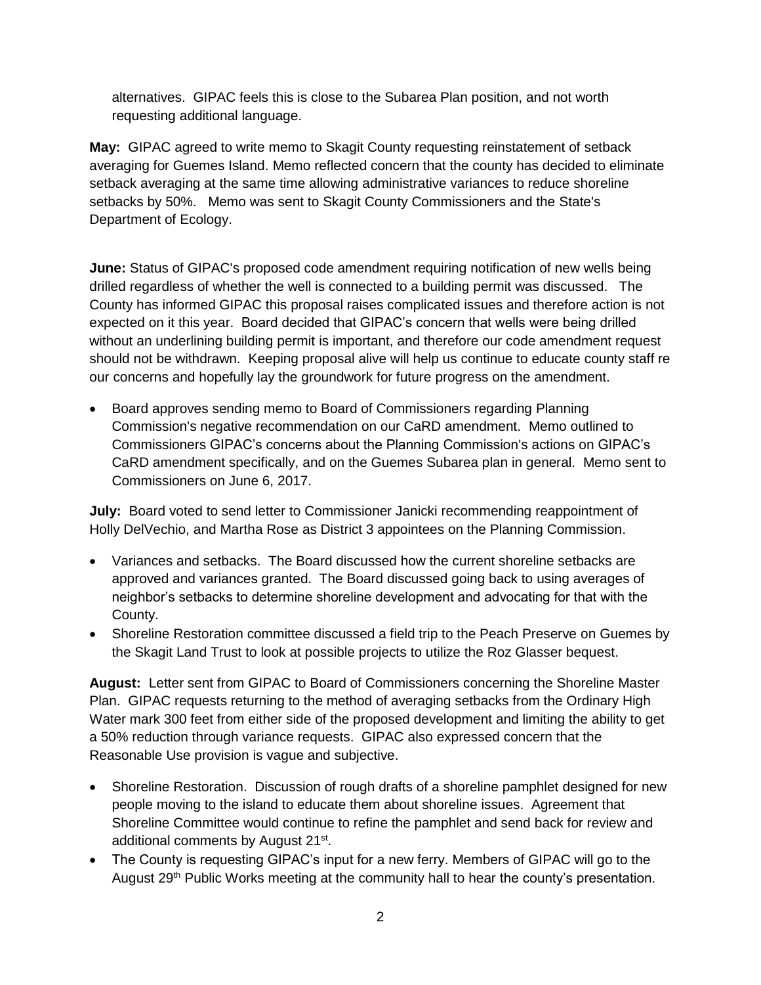alternatives. GIPAC feels this is close to the Subarea Plan position, and not worth requesting additional language.

**May:** GIPAC agreed to write memo to Skagit County requesting reinstatement of setback averaging for Guemes Island. Memo reflected concern that the county has decided to eliminate setback averaging at the same time allowing administrative variances to reduce shoreline setbacks by 50%. Memo was sent to Skagit County Commissioners and the State's Department of Ecology.

**June:** Status of GIPAC's proposed code amendment requiring notification of new wells being drilled regardless of whether the well is connected to a building permit was discussed. The County has informed GIPAC this proposal raises complicated issues and therefore action is not expected on it this year. Board decided that GIPAC's concern that wells were being drilled without an underlining building permit is important, and therefore our code amendment request should not be withdrawn. Keeping proposal alive will help us continue to educate county staff re our concerns and hopefully lay the groundwork for future progress on the amendment.

• Board approves sending memo to Board of Commissioners regarding Planning Commission's negative recommendation on our CaRD amendment. Memo outlined to Commissioners GIPAC's concerns about the Planning Commission's actions on GIPAC's CaRD amendment specifically, and on the Guemes Subarea plan in general. Memo sent to Commissioners on June 6, 2017.

**July:** Board voted to send letter to Commissioner Janicki recommending reappointment of Holly DelVechio, and Martha Rose as District 3 appointees on the Planning Commission.

- Variances and setbacks. The Board discussed how the current shoreline setbacks are approved and variances granted. The Board discussed going back to using averages of neighbor's setbacks to determine shoreline development and advocating for that with the County.
- Shoreline Restoration committee discussed a field trip to the Peach Preserve on Guemes by the Skagit Land Trust to look at possible projects to utilize the Roz Glasser bequest.

**August:** Letter sent from GIPAC to Board of Commissioners concerning the Shoreline Master Plan. GIPAC requests returning to the method of averaging setbacks from the Ordinary High Water mark 300 feet from either side of the proposed development and limiting the ability to get a 50% reduction through variance requests. GIPAC also expressed concern that the Reasonable Use provision is vague and subjective.

- Shoreline Restoration. Discussion of rough drafts of a shoreline pamphlet designed for new people moving to the island to educate them about shoreline issues. Agreement that Shoreline Committee would continue to refine the pamphlet and send back for review and additional comments by August 21<sup>st</sup>.
- The County is requesting GIPAC's input for a new ferry. Members of GIPAC will go to the August 29<sup>th</sup> Public Works meeting at the community hall to hear the county's presentation.